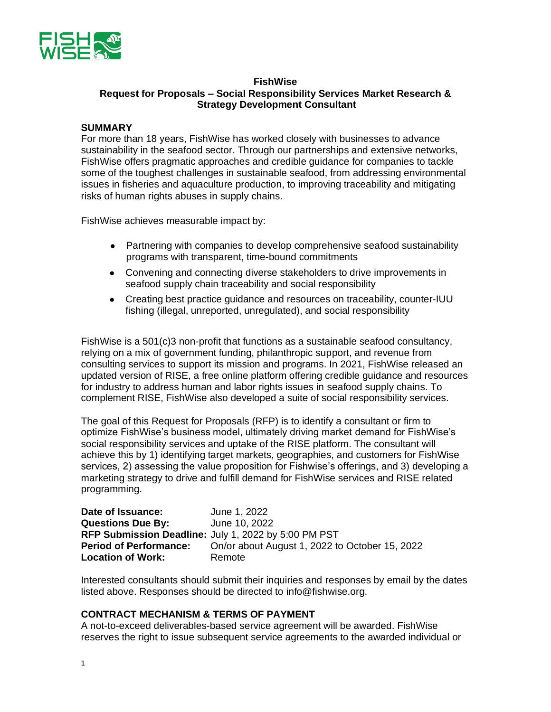

### **FishWise Request for Proposals – Social Responsibility Services Market Research & Strategy Development Consultant**

### **SUMMARY**

For more than 18 years, FishWise has worked closely with businesses to advance sustainability in the seafood sector. Through our partnerships and extensive networks, FishWise offers pragmatic approaches and credible guidance for companies to tackle some of the toughest challenges in sustainable seafood, from addressing environmental issues in fisheries and aquaculture production, to improving traceability and mitigating risks of human rights abuses in supply chains.

FishWise achieves measurable impact by:

- Partnering with companies to develop comprehensive seafood sustainability programs with transparent, time-bound commitments
- Convening and connecting diverse stakeholders to drive improvements in seafood supply chain traceability and social responsibility
- Creating best practice guidance and resources on traceability, counter-IUU fishing (illegal, unreported, unregulated), and social responsibility

FishWise is a 501(c)3 non-profit that functions as a sustainable seafood consultancy, relying on a mix of government funding, philanthropic support, and revenue from consulting services to support its mission and programs. In 2021, FishWise released an updated version of RISE, a free online platform offering credible guidance and resources for industry to address human and labor rights issues in seafood supply chains. To complement RISE, FishWise also developed a suite of social responsibility services.

The goal of this Request for Proposals (RFP) is to identify a consultant or firm to optimize FishWise's business model, ultimately driving market demand for FishWise's social responsibility services and uptake of the RISE platform. The consultant will achieve this by 1) identifying target markets, geographies, and customers for FishWise services, 2) assessing the value proposition for Fishwise's offerings, and 3) developing a marketing strategy to drive and fulfill demand for FishWise services and RISE related programming.

| Date of Issuance:             | June 1, 2022                                         |
|-------------------------------|------------------------------------------------------|
| <b>Questions Due By:</b>      | June 10, 2022                                        |
|                               | RFP Submission Deadline: July 1, 2022 by 5:00 PM PST |
| <b>Period of Performance:</b> | On/or about August 1, 2022 to October 15, 2022       |
| <b>Location of Work:</b>      | Remote                                               |

Interested consultants should submit their inquiries and responses by email by the dates listed above. Responses should be directed to info@fishwise.org.

### **CONTRACT MECHANISM & TERMS OF PAYMENT**

A not-to-exceed deliverables-based service agreement will be awarded. FishWise reserves the right to issue subsequent service agreements to the awarded individual or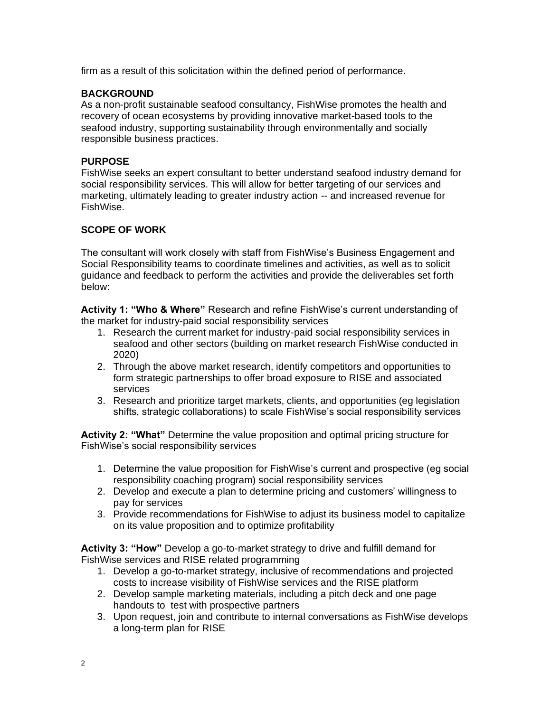firm as a result of this solicitation within the defined period of performance.

# **BACKGROUND**

As a non-profit sustainable seafood consultancy, FishWise promotes the health and recovery of ocean ecosystems by providing innovative market-based tools to the seafood industry, supporting sustainability through environmentally and socially responsible business practices.

# **PURPOSE**

FishWise seeks an expert consultant to better understand seafood industry demand for social responsibility services. This will allow for better targeting of our services and marketing, ultimately leading to greater industry action -- and increased revenue for FishWise.

# **SCOPE OF WORK**

The consultant will work closely with staff from FishWise's Business Engagement and Social Responsibility teams to coordinate timelines and activities, as well as to solicit guidance and feedback to perform the activities and provide the deliverables set forth below:

**Activity 1: "Who & Where"** Research and refine FishWise's current understanding of the market for industry-paid social responsibility services

- 1. Research the current market for industry-paid social responsibility services in seafood and other sectors (building on market research FishWise conducted in 2020)
- 2. Through the above market research, identify competitors and opportunities to form strategic partnerships to offer broad exposure to RISE and associated services
- 3. Research and prioritize target markets, clients, and opportunities (eg legislation shifts, strategic collaborations) to scale FishWise's social responsibility services

**Activity 2: "What"** Determine the value proposition and optimal pricing structure for FishWise's social responsibility services

- 1. Determine the value proposition for FishWise's current and prospective (eg social responsibility coaching program) social responsibility services
- 2. Develop and execute a plan to determine pricing and customers' willingness to pay for services
- 3. Provide recommendations for FishWise to adjust its business model to capitalize on its value proposition and to optimize profitability

**Activity 3: "How"** Develop a go-to-market strategy to drive and fulfill demand for FishWise services and RISE related programming

- 1. Develop a go-to-market strategy, inclusive of recommendations and projected costs to increase visibility of FishWise services and the RISE platform
- 2. Develop sample marketing materials, including a pitch deck and one page handouts to test with prospective partners
- 3. Upon request, join and contribute to internal conversations as FishWise develops a long-term plan for RISE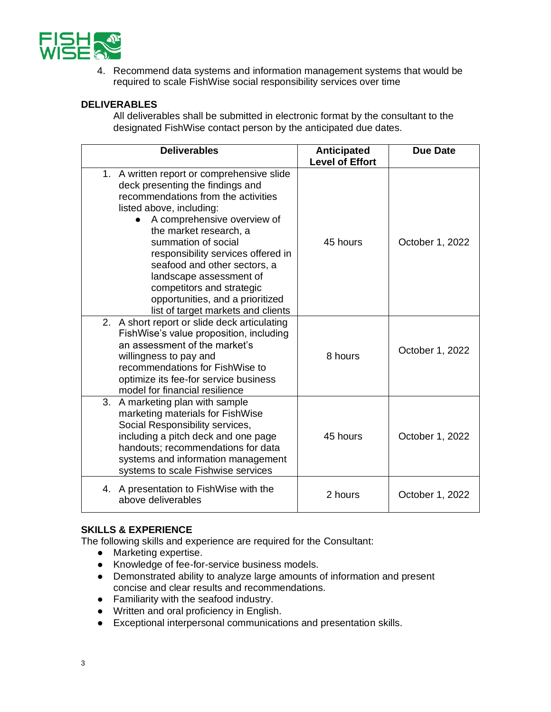

4. Recommend data systems and information management systems that would be required to scale FishWise social responsibility services over time

### **DELIVERABLES**

All deliverables shall be submitted in electronic format by the consultant to the designated FishWise contact person by the anticipated due dates.

| <b>Deliverables</b>                                                                                                                                                                                                                                                |                                                                                                                                                                             | Anticipated<br><b>Level of Effort</b> | <b>Due Date</b> |
|--------------------------------------------------------------------------------------------------------------------------------------------------------------------------------------------------------------------------------------------------------------------|-----------------------------------------------------------------------------------------------------------------------------------------------------------------------------|---------------------------------------|-----------------|
| 1. A written report or comprehensive slide<br>deck presenting the findings and<br>recommendations from the activities<br>listed above, including:<br>the market research, a<br>summation of social<br>landscape assessment of<br>competitors and strategic         | A comprehensive overview of<br>responsibility services offered in<br>seafood and other sectors, a<br>opportunities, and a prioritized<br>list of target markets and clients | 45 hours                              | October 1, 2022 |
| 2. A short report or slide deck articulating<br>FishWise's value proposition, including<br>an assessment of the market's<br>willingness to pay and<br>recommendations for FishWise to<br>optimize its fee-for service business<br>model for financial resilience   |                                                                                                                                                                             | 8 hours                               | October 1, 2022 |
| 3.<br>A marketing plan with sample<br>marketing materials for FishWise<br>Social Responsibility services,<br>including a pitch deck and one page<br>handouts; recommendations for data<br>systems and information management<br>systems to scale Fishwise services |                                                                                                                                                                             | 45 hours                              | October 1, 2022 |
| 4. A presentation to Fish Wise with the<br>above deliverables                                                                                                                                                                                                      |                                                                                                                                                                             | 2 hours                               | October 1, 2022 |

#### **SKILLS & EXPERIENCE**

The following skills and experience are required for the Consultant:

- Marketing expertise.
- Knowledge of fee-for-service business models.
- Demonstrated ability to analyze large amounts of information and present concise and clear results and recommendations.
- Familiarity with the seafood industry.
- Written and oral proficiency in English.
- Exceptional interpersonal communications and presentation skills.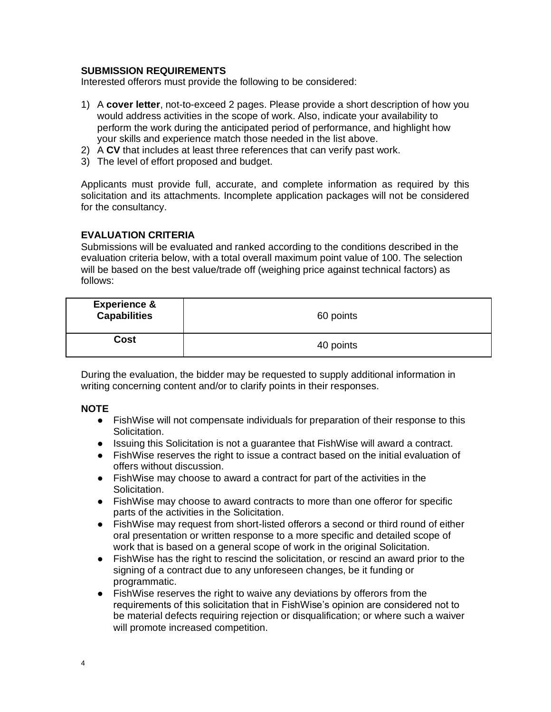### **SUBMISSION REQUIREMENTS**

Interested offerors must provide the following to be considered:

- 1) A **cover letter**, not-to-exceed 2 pages. Please provide a short description of how you would address activities in the scope of work. Also, indicate your availability to perform the work during the anticipated period of performance, and highlight how your skills and experience match those needed in the list above.
- 2) A **CV** that includes at least three references that can verify past work.
- 3) The level of effort proposed and budget.

Applicants must provide full, accurate, and complete information as required by this solicitation and its attachments. Incomplete application packages will not be considered for the consultancy.

### **EVALUATION CRITERIA**

Submissions will be evaluated and ranked according to the conditions described in the evaluation criteria below, with a total overall maximum point value of 100. The selection will be based on the best value/trade off (weighing price against technical factors) as follows:

| <b>Experience &amp;</b><br><b>Capabilities</b> | 60 points |
|------------------------------------------------|-----------|
| Cost                                           | 40 points |

During the evaluation, the bidder may be requested to supply additional information in writing concerning content and/or to clarify points in their responses.

#### **NOTE**

- FishWise will not compensate individuals for preparation of their response to this Solicitation.
- Issuing this Solicitation is not a guarantee that FishWise will award a contract.
- FishWise reserves the right to issue a contract based on the initial evaluation of offers without discussion.
- FishWise may choose to award a contract for part of the activities in the Solicitation.
- FishWise may choose to award contracts to more than one offeror for specific parts of the activities in the Solicitation.
- FishWise may request from short-listed offerors a second or third round of either oral presentation or written response to a more specific and detailed scope of work that is based on a general scope of work in the original Solicitation.
- FishWise has the right to rescind the solicitation, or rescind an award prior to the signing of a contract due to any unforeseen changes, be it funding or programmatic.
- FishWise reserves the right to waive any deviations by offerors from the requirements of this solicitation that in FishWise's opinion are considered not to be material defects requiring rejection or disqualification; or where such a waiver will promote increased competition.